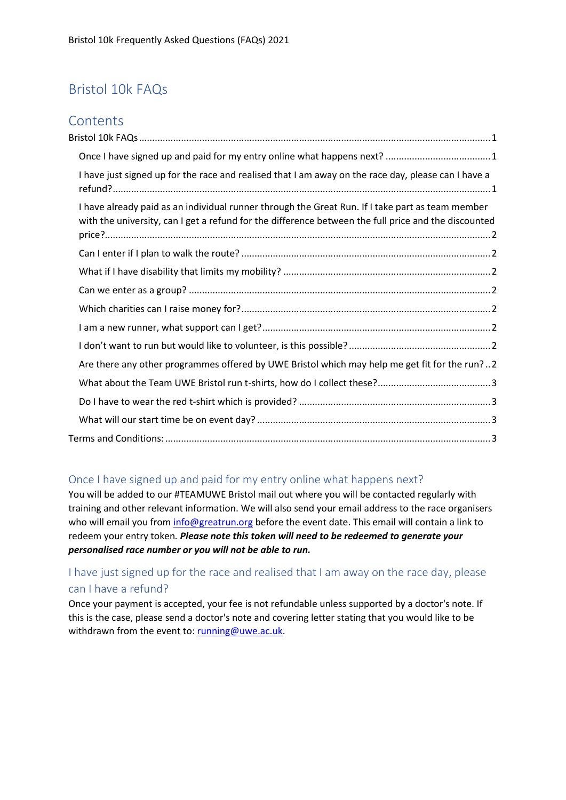# <span id="page-0-0"></span>Bristol 10k FAQs

## **Contents**

| I have just signed up for the race and realised that I am away on the race day, please can I have a                                                                                                      |
|----------------------------------------------------------------------------------------------------------------------------------------------------------------------------------------------------------|
| I have already paid as an individual runner through the Great Run. If I take part as team member<br>with the university, can I get a refund for the difference between the full price and the discounted |
|                                                                                                                                                                                                          |
|                                                                                                                                                                                                          |
|                                                                                                                                                                                                          |
|                                                                                                                                                                                                          |
|                                                                                                                                                                                                          |
|                                                                                                                                                                                                          |
| Are there any other programmes offered by UWE Bristol which may help me get fit for the run?2                                                                                                            |
|                                                                                                                                                                                                          |
|                                                                                                                                                                                                          |
|                                                                                                                                                                                                          |
|                                                                                                                                                                                                          |

#### <span id="page-0-1"></span>Once I have signed up and paid for my entry online what happens next?

You will be added to our #TEAMUWE Bristol mail out where you will be contacted regularly with training and other relevant information. We will also send your email address to the race organisers who will email you from [info@greatrun.org](mailto:info@greatrun.org) before the event date. This email will contain a link to redeem your entry token*. Please note this token will need to be redeemed to generate your personalised race number or you will not be able to run.*

### <span id="page-0-2"></span>I have just signed up for the race and realised that I am away on the race day, please can I have a refund?

Once your payment is accepted, your fee is not refundable unless supported by a doctor's note. If this is the case, please send a doctor's note and covering letter stating that you would like to be withdrawn from the event to[: running@uwe.ac.uk.](mailto:running@uwe.ac.uk)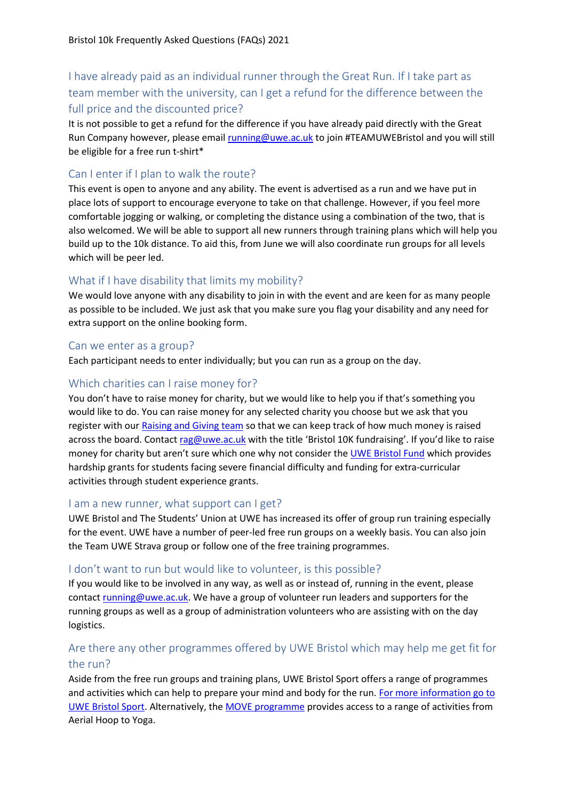## <span id="page-1-0"></span>I have already paid as an individual runner through the Great Run. If I take part as team member with the university, can I get a refund for the difference between the full price and the discounted price?

It is not possible to get a refund for the difference if you have already paid directly with the Great Run Company however, please emai[l running@uwe.ac.uk](mailto:running@uwe.ac.uk) to join #TEAMUWEBristol and you will still be eligible for a free run t-shirt\*

### <span id="page-1-1"></span>Can I enter if I plan to walk the route?

This event is open to anyone and any ability. The event is advertised as a run and we have put in place lots of support to encourage everyone to take on that challenge. However, if you feel more comfortable jogging or walking, or completing the distance using a combination of the two, that is also welcomed. We will be able to support all new runners through training plans which will help you build up to the 10k distance. To aid this, from June we will also coordinate run groups for all levels which will be peer led.

### <span id="page-1-2"></span>What if I have disability that limits my mobility?

We would love anyone with any disability to join in with the event and are keen for as many people as possible to be included. We just ask that you make sure you flag your disability and any need for extra support on the online booking form.

#### <span id="page-1-3"></span>Can we enter as a group?

Each participant needs to enter individually; but you can run as a group on the day.

#### <span id="page-1-4"></span>Which charities can I raise money for?

You don't have to raise money for charity, but we would like to help you if that's something you would like to do. You can raise money for any selected charity you choose but we ask that you register with our [Raising and Giving team](https://www.thestudentsunion.co.uk/community/fundraising/) so that we can keep track of how much money is raised across the board. Contact [rag@uwe.ac.uk](mailto:rag@uwe.ac.uk) with the title 'Bristol 10K fundraising'. If you'd like to raise money for charity but aren't sure which one why not consider th[e UWE Bristol Fund](https://www.uwe.ac.uk/courses/funding/uwe-bristol-fund) which provides hardship grants for students facing severe financial difficulty and funding for extra-curricular activities through student experience grants.

#### <span id="page-1-5"></span>I am a new runner, what support can I get?

UWE Bristol and The Students' Union at UWE has increased its offer of group run training especially for the event. UWE have a number of peer-led free run groups on a weekly basis. You can also join the Team UWE Strava group or follow one of the free training programmes.

#### <span id="page-1-6"></span>I don't want to run but would like to volunteer, is this possible?

If you would like to be involved in any way, as well as or instead of, running in the event, please contact [running@uwe.ac.uk.](mailto:running@uwe.ac.uk) We have a group of volunteer run leaders and supporters for the running groups as well as a group of administration volunteers who are assisting with on the day logistics.

### <span id="page-1-7"></span>Are there any other programmes offered by UWE Bristol which may help me get fit for the run?

Aside from the free run groups and training plans, UWE Bristol Sport offers a range of programmes and activities which can help to prepare your mind and body for the run. For more information go to [UWE Bristol Sport.](https://www.uwe.ac.uk/life/activities/sport) Alternatively, the [MOVE programme](https://www.uwe.ac.uk/life/activities/sport/membership-options/move) provides access to a range of activities from Aerial Hoop to Yoga.